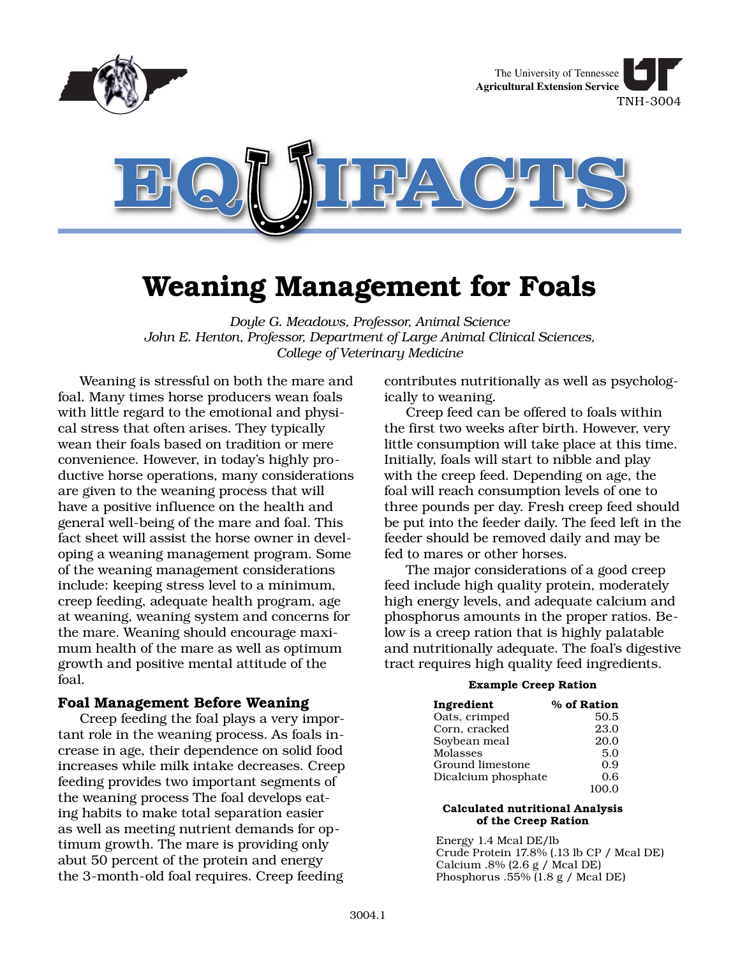

# **Weaning Management for Foals**

*Doyle G. Meadows, Professor, Animal Science John E. Henton, Professor, Department of Large Animal Clinical Sciences, College of Veterinary Medicine*

Weaning is stressful on both the mare and foal. Many times horse producers wean foals with little regard to the emotional and physical stress that often arises. They typically wean their foals based on tradition or mere convenience. However, in today's highly productive horse operations, many considerations are given to the weaning process that will have a positive influence on the health and general well-being of the mare and foal. This fact sheet will assist the horse owner in developing a weaning management program. Some of the weaning management considerations include: keeping stress level to a minimum, creep feeding, adequate health program, age at weaning, weaning system and concerns for the mare. Weaning should encourage maximum health of the mare as well as optimum growth and positive mental attitude of the foal.

## **Foal Management Before Weaning**

Creep feeding the foal plays a very important role in the weaning process. As foals increase in age, their dependence on solid food increases while milk intake decreases. Creep feeding provides two important segments of the weaning process The foal develops eating habits to make total separation easier as well as meeting nutrient demands for optimum growth. The mare is providing only abut 50 percent of the protein and energy the 3-month-old foal requires. Creep feeding

contributes nutritionally as well as psychologically to weaning.

Creep feed can be offered to foals within the first two weeks after birth. However, very little consumption will take place at this time. Initially, foals will start to nibble and play with the creep feed. Depending on age, the foal will reach consumption levels of one to three pounds per day. Fresh creep feed should be put into the feeder daily. The feed left in the feeder should be removed daily and may be fed to mares or other horses.

The major considerations of a good creep feed include high quality protein, moderately high energy levels, and adequate calcium and phosphorus amounts in the proper ratios. Below is a creep ration that is highly palatable and nutritionally adequate. The foal's digestive tract requires high quality feed ingredients.

#### **Example Creep Ration**

| Ingredient          | % of Ration |
|---------------------|-------------|
| Oats, crimped       | 50.5        |
| Corn, cracked       | 23.0        |
| Soybean meal        | 20.0        |
| Molasses            | 5.0         |
| Ground limestone    | 0.9         |
| Dicalcium phosphate | 0.6         |
|                     | 100.0       |

#### **Calculated nutritional Analysis of the Creep Ration**

Energy 1.4 Mcal DE/lb Crude Protein 17.8% (.13 lb CP / Mcal DE) Calcium .8% (2.6 g / Mcal DE) Phosphorus  $.55\%$  (1.8 g / Mcal DE)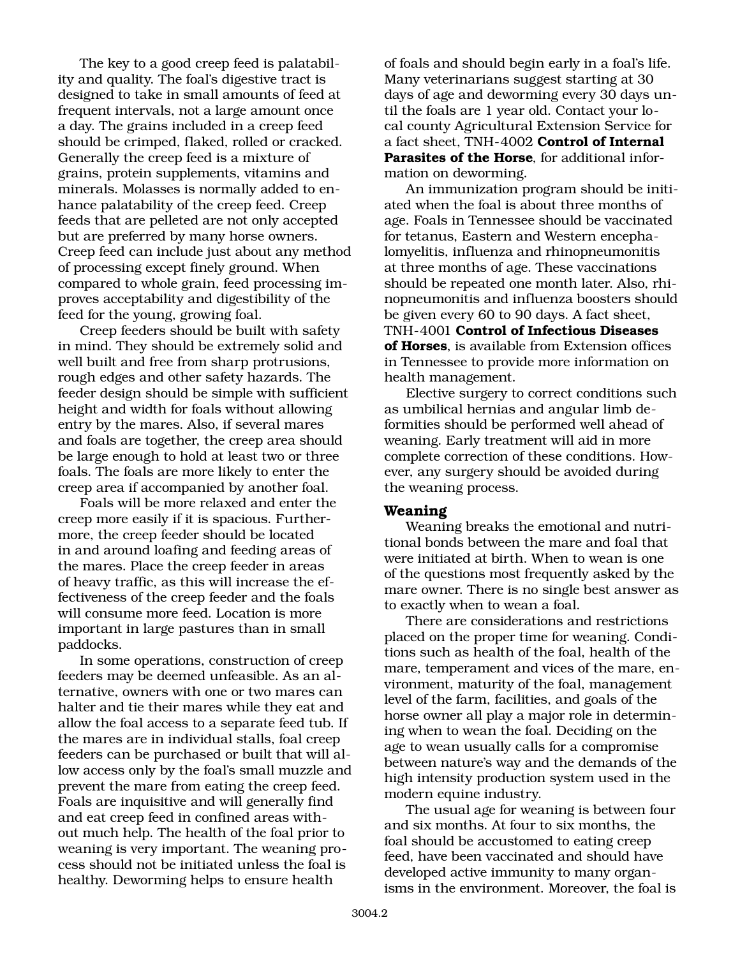The key to a good creep feed is palatability and quality. The foal's digestive tract is designed to take in small amounts of feed at frequent intervals, not a large amount once a day. The grains included in a creep feed should be crimped, flaked, rolled or cracked. Generally the creep feed is a mixture of grains, protein supplements, vitamins and minerals. Molasses is normally added to enhance palatability of the creep feed. Creep feeds that are pelleted are not only accepted but are preferred by many horse owners. Creep feed can include just about any method of processing except finely ground. When compared to whole grain, feed processing improves acceptability and digestibility of the feed for the young, growing foal.

Creep feeders should be built with safety in mind. They should be extremely solid and well built and free from sharp protrusions, rough edges and other safety hazards. The feeder design should be simple with sufficient height and width for foals without allowing entry by the mares. Also, if several mares and foals are together, the creep area should be large enough to hold at least two or three foals. The foals are more likely to enter the creep area if accompanied by another foal.

Foals will be more relaxed and enter the creep more easily if it is spacious. Furthermore, the creep feeder should be located in and around loafing and feeding areas of the mares. Place the creep feeder in areas of heavy traffic, as this will increase the effectiveness of the creep feeder and the foals will consume more feed. Location is more important in large pastures than in small paddocks.

In some operations, construction of creep feeders may be deemed unfeasible. As an alternative, owners with one or two mares can halter and tie their mares while they eat and allow the foal access to a separate feed tub. If the mares are in individual stalls, foal creep feeders can be purchased or built that will allow access only by the foal's small muzzle and prevent the mare from eating the creep feed. Foals are inquisitive and will generally find and eat creep feed in confined areas without much help. The health of the foal prior to weaning is very important. The weaning process should not be initiated unless the foal is healthy. Deworming helps to ensure health

of foals and should begin early in a foal's life. Many veterinarians suggest starting at 30 days of age and deworming every 30 days until the foals are 1 year old. Contact your local county Agricultural Extension Service for a fact sheet, TNH-4002 **Control of Internal Parasites of the Horse**, for additional information on deworming.

An immunization program should be initiated when the foal is about three months of age. Foals in Tennessee should be vaccinated for tetanus, Eastern and Western encephalomyelitis, influenza and rhinopneumonitis at three months of age. These vaccinations should be repeated one month later. Also, rhinopneumonitis and influenza boosters should be given every 60 to 90 days. A fact sheet, TNH-4001 **Control of Infectious Diseases of Horses**, is available from Extension offices in Tennessee to provide more information on health management.

Elective surgery to correct conditions such as umbilical hernias and angular limb deformities should be performed well ahead of weaning. Early treatment will aid in more complete correction of these conditions. However, any surgery should be avoided during the weaning process.

## **Weaning**

Weaning breaks the emotional and nutritional bonds between the mare and foal that were initiated at birth. When to wean is one of the questions most frequently asked by the mare owner. There is no single best answer as to exactly when to wean a foal.

There are considerations and restrictions placed on the proper time for weaning. Conditions such as health of the foal, health of the mare, temperament and vices of the mare, environment, maturity of the foal, management level of the farm, facilities, and goals of the horse owner all play a major role in determining when to wean the foal. Deciding on the age to wean usually calls for a compromise between nature's way and the demands of the high intensity production system used in the modern equine industry.

The usual age for weaning is between four and six months. At four to six months, the foal should be accustomed to eating creep feed, have been vaccinated and should have developed active immunity to many organisms in the environment. Moreover, the foal is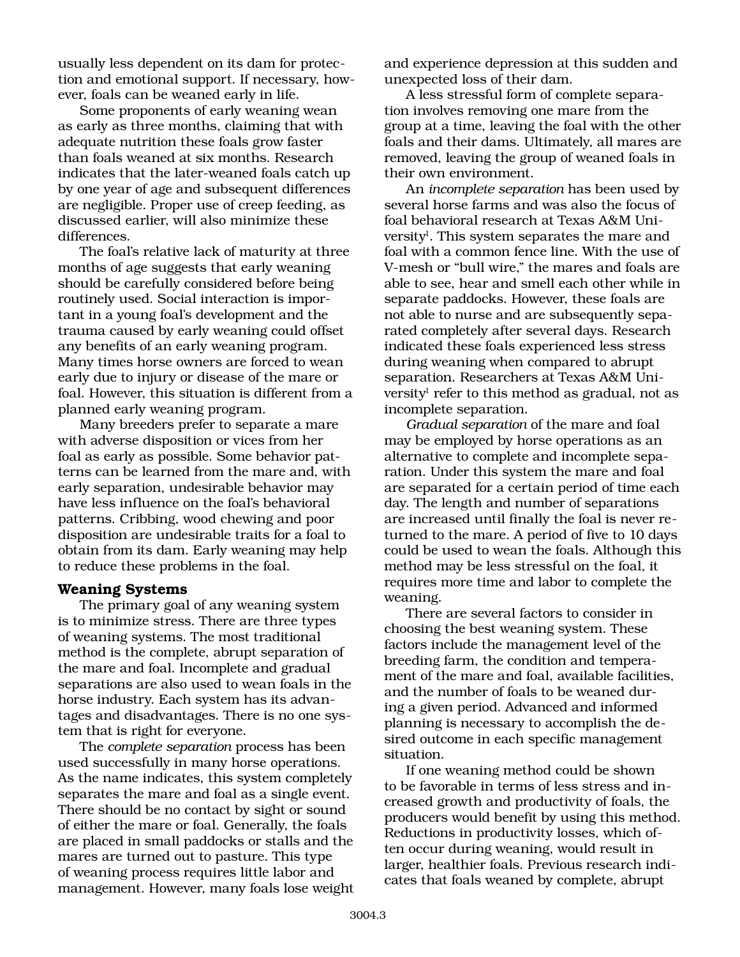usually less dependent on its dam for protection and emotional support. If necessary, however, foals can be weaned early in life.

Some proponents of early weaning wean as early as three months, claiming that with adequate nutrition these foals grow faster than foals weaned at six months. Research indicates that the later-weaned foals catch up by one year of age and subsequent differences are negligible. Proper use of creep feeding, as discussed earlier, will also minimize these differences.

The foal's relative lack of maturity at three months of age suggests that early weaning should be carefully considered before being routinely used. Social interaction is important in a young foal's development and the trauma caused by early weaning could offset any benefits of an early weaning program. Many times horse owners are forced to wean early due to injury or disease of the mare or foal. However, this situation is different from a planned early weaning program.

Many breeders prefer to separate a mare with adverse disposition or vices from her foal as early as possible. Some behavior patterns can be learned from the mare and, with early separation, undesirable behavior may have less influence on the foal's behavioral patterns. Cribbing, wood chewing and poor disposition are undesirable traits for a foal to obtain from its dam. Early weaning may help to reduce these problems in the foal.

#### **Weaning Systems**

The primary goal of any weaning system is to minimize stress. There are three types of weaning systems. The most traditional method is the complete, abrupt separation of the mare and foal. Incomplete and gradual separations are also used to wean foals in the horse industry. Each system has its advantages and disadvantages. There is no one system that is right for everyone.

The *complete separation* process has been used successfully in many horse operations. As the name indicates, this system completely separates the mare and foal as a single event. There should be no contact by sight or sound of either the mare or foal. Generally, the foals are placed in small paddocks or stalls and the mares are turned out to pasture. This type of weaning process requires little labor and management. However, many foals lose weight

and experience depression at this sudden and unexpected loss of their dam.

A less stressful form of complete separation involves removing one mare from the group at a time, leaving the foal with the other foals and their dams. Ultimately, all mares are removed, leaving the group of weaned foals in their own environment.

An *incomplete separation* has been used by several horse farms and was also the focus of foal behavioral research at Texas A&M University<sup>1</sup>. This system separates the mare and foal with a common fence line. With the use of V-mesh or "bull wire," the mares and foals are able to see, hear and smell each other while in separate paddocks. However, these foals are not able to nurse and are subsequently separated completely after several days. Research indicated these foals experienced less stress during weaning when compared to abrupt separation. Researchers at Texas A&M University<sup>1</sup> refer to this method as gradual, not as incomplete separation.

*Gradual separation* of the mare and foal may be employed by horse operations as an alternative to complete and incomplete separation. Under this system the mare and foal are separated for a certain period of time each day. The length and number of separations are increased until finally the foal is never returned to the mare. A period of five to 10 days could be used to wean the foals. Although this method may be less stressful on the foal, it requires more time and labor to complete the weaning.

There are several factors to consider in choosing the best weaning system. These factors include the management level of the breeding farm, the condition and temperament of the mare and foal, available facilities, and the number of foals to be weaned during a given period. Advanced and informed planning is necessary to accomplish the desired outcome in each specific management situation.

If one weaning method could be shown to be favorable in terms of less stress and increased growth and productivity of foals, the producers would benefit by using this method. Reductions in productivity losses, which often occur during weaning, would result in larger, healthier foals. Previous research indicates that foals weaned by complete, abrupt